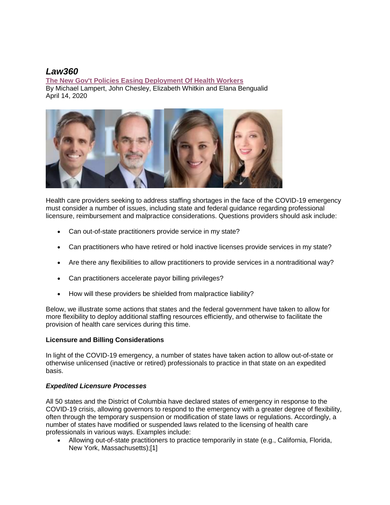# *Law360*

**[The New Gov't Policies Easing Deployment Of Health Workers](https://www.law360.com/articles/1261517/the-new-gov-t-policies-easing-deployment-of-health-workers)** By Michael Lampert, John Chesley, Elizabeth Whitkin and Elana Bengualid April 14, 2020



Health care providers seeking to address staffing shortages in the face of the COVID-19 emergency must consider a number of issues, including state and federal guidance regarding professional licensure, reimbursement and malpractice considerations. Questions providers should ask include:

- Can out-of-state practitioners provide service in my state?
- Can practitioners who have retired or hold inactive licenses provide services in my state?
- Are there any flexibilities to allow practitioners to provide services in a nontraditional way?
- Can practitioners accelerate payor billing privileges?
- How will these providers be shielded from malpractice liability?

Below, we illustrate some actions that states and the federal government have taken to allow for more flexibility to deploy additional staffing resources efficiently, and otherwise to facilitate the provision of health care services during this time.

# **Licensure and Billing Considerations**

In light of the COVID-19 emergency, a number of states have taken action to allow out-of-state or otherwise unlicensed (inactive or retired) professionals to practice in that state on an expedited basis.

# *Expedited Licensure Processes*

All 50 states and the District of Columbia have declared states of emergency in response to the COVID-19 crisis, allowing governors to respond to the emergency with a greater degree of flexibility, often through the temporary suspension or modification of state laws or regulations. Accordingly, a number of states have modified or suspended laws related to the licensing of health care professionals in various ways. Examples include:

 Allowing out-of-state practitioners to practice temporarily in state (e.g., California, Florida, New York, Massachusetts);[1]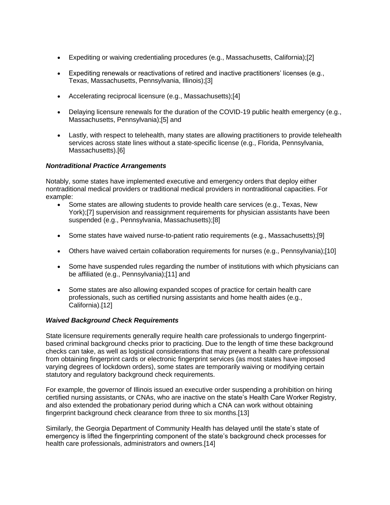- Expediting or waiving credentialing procedures (e.g., Massachusetts, California);[2]
- Expediting renewals or reactivations of retired and inactive practitioners' licenses (e.g., Texas, Massachusetts, Pennsylvania, Illinois);[3]
- Accelerating reciprocal licensure (e.g., Massachusetts);[4]
- Delaying licensure renewals for the duration of the COVID-19 public health emergency (e.g., Massachusetts, Pennsylvania);[5] and
- Lastly, with respect to telehealth, many states are allowing practitioners to provide telehealth services across state lines without a state-specific license (e.g., Florida, Pennsylvania, Massachusetts).[6]

# *Nontraditional Practice Arrangements*

Notably, some states have implemented executive and emergency orders that deploy either nontraditional medical providers or traditional medical providers in nontraditional capacities. For example:

- Some states are allowing students to provide health care services (e.g., Texas, New York);[7] supervision and reassignment requirements for physician assistants have been suspended (e.g., Pennsylvania, Massachusetts);[8]
- Some states have waived nurse-to-patient ratio requirements (e.g., Massachusetts);[9]
- Others have waived certain collaboration requirements for nurses (e.g., Pennsylvania);[10]
- Some have suspended rules regarding the number of institutions with which physicians can be affiliated (e.g., Pennsylvania);[11] and
- Some states are also allowing expanded scopes of practice for certain health care professionals, such as certified nursing assistants and home health aides (e.g., California).[12]

#### *Waived Background Check Requirements*

State licensure requirements generally require health care professionals to undergo fingerprintbased criminal background checks prior to practicing. Due to the length of time these background checks can take, as well as logistical considerations that may prevent a health care professional from obtaining fingerprint cards or electronic fingerprint services (as most states have imposed varying degrees of lockdown orders), some states are temporarily waiving or modifying certain statutory and regulatory background check requirements.

For example, the governor of Illinois issued an executive order suspending a prohibition on hiring certified nursing assistants, or CNAs, who are inactive on the state's Health Care Worker Registry, and also extended the probationary period during which a CNA can work without obtaining fingerprint background check clearance from three to six months.[13]

Similarly, the Georgia Department of Community Health has delayed until the state's state of emergency is lifted the fingerprinting component of the state's background check processes for health care professionals, administrators and owners.[14]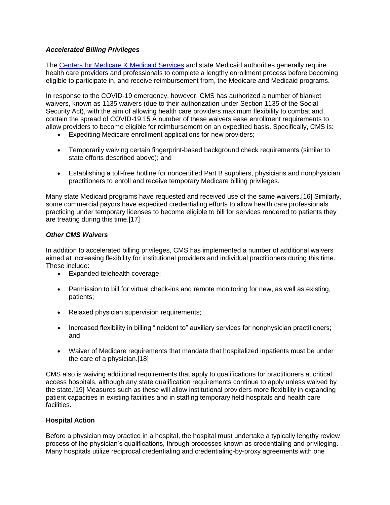# *Accelerated Billing Privileges*

The [Centers for Medicare & Medicaid Services](https://www.law360.com/agencies/centers-for-medicare-medicaid-services) and state Medicaid authorities generally require health care providers and professionals to complete a lengthy enrollment process before becoming eligible to participate in, and receive reimbursement from, the Medicare and Medicaid programs.

In response to the COVID-19 emergency, however, CMS has authorized a number of blanket waivers, known as 1135 waivers (due to their authorization under Section 1135 of the Social Security Act), with the aim of allowing health care providers maximum flexibility to combat and contain the spread of COVID-19.15 A number of these waivers ease enrollment requirements to allow providers to become eligible for reimbursement on an expedited basis. Specifically, CMS is:

- Expediting Medicare enrollment applications for new providers;
- Temporarily waiving certain fingerprint-based background check requirements (similar to state efforts described above); and
- Establishing a toll-free hotline for noncertified Part B suppliers, physicians and nonphysician practitioners to enroll and receive temporary Medicare billing privileges.

Many state Medicaid programs have requested and received use of the same waivers.[16] Similarly, some commercial payors have expedited credentialing efforts to allow health care professionals practicing under temporary licenses to become eligible to bill for services rendered to patients they are treating during this time.[17]

# *Other CMS Waivers*

In addition to accelerated billing privileges, CMS has implemented a number of additional waivers aimed at increasing flexibility for institutional providers and individual practitioners during this time. These include:

- Expanded telehealth coverage;
- Permission to bill for virtual check-ins and remote monitoring for new, as well as existing, patients;
- Relaxed physician supervision requirements;
- Increased flexibility in billing "incident to" auxiliary services for nonphysician practitioners; and
- Waiver of Medicare requirements that mandate that hospitalized inpatients must be under the care of a physician.[18]

CMS also is waiving additional requirements that apply to qualifications for practitioners at critical access hospitals, although any state qualification requirements continue to apply unless waived by the state.[19] Measures such as these will allow institutional providers more flexibility in expanding patient capacities in existing facilities and in staffing temporary field hospitals and health care facilities.

# **Hospital Action**

Before a physician may practice in a hospital, the hospital must undertake a typically lengthy review process of the physician's qualifications, through processes known as credentialing and privileging. Many hospitals utilize reciprocal credentialing and credentialing-by-proxy agreements with one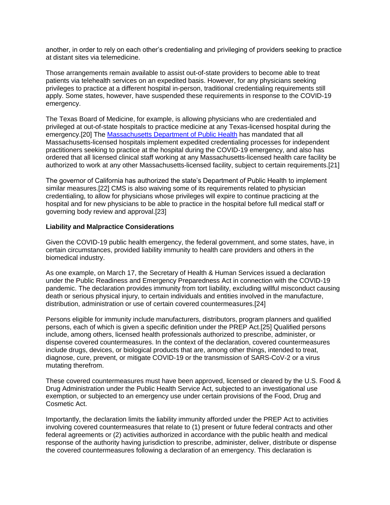another, in order to rely on each other's credentialing and privileging of providers seeking to practice at distant sites via telemedicine.

Those arrangements remain available to assist out-of-state providers to become able to treat patients via telehealth services on an expedited basis. However, for any physicians seeking privileges to practice at a different hospital in-person, traditional credentialing requirements still apply. Some states, however, have suspended these requirements in response to the COVID-19 emergency.

The Texas Board of Medicine, for example, is allowing physicians who are credentialed and privileged at out-of-state hospitals to practice medicine at any Texas-licensed hospital during the emergency.[20] The [Massachusetts Department of Public Health](https://www.law360.com/agencies/massachusetts-department-of-health-and-human-services) has mandated that all Massachusetts-licensed hospitals implement expedited credentialing processes for independent practitioners seeking to practice at the hospital during the COVID-19 emergency, and also has ordered that all licensed clinical staff working at any Massachusetts-licensed health care facility be authorized to work at any other Massachusetts-licensed facility, subject to certain requirements.[21]

The governor of California has authorized the state's Department of Public Health to implement similar measures.[22] CMS is also waiving some of its requirements related to physician credentialing, to allow for physicians whose privileges will expire to continue practicing at the hospital and for new physicians to be able to practice in the hospital before full medical staff or governing body review and approval.[23]

## **Liability and Malpractice Considerations**

Given the COVID-19 public health emergency, the federal government, and some states, have, in certain circumstances, provided liability immunity to health care providers and others in the biomedical industry.

As one example, on March 17, the Secretary of Health & Human Services issued a declaration under the Public Readiness and Emergency Preparedness Act in connection with the COVID-19 pandemic. The declaration provides immunity from tort liability, excluding willful misconduct causing death or serious physical injury, to certain individuals and entities involved in the manufacture, distribution, administration or use of certain covered countermeasures.[24]

Persons eligible for immunity include manufacturers, distributors, program planners and qualified persons, each of which is given a specific definition under the PREP Act.[25] Qualified persons include, among others, licensed health professionals authorized to prescribe, administer, or dispense covered countermeasures. In the context of the declaration, covered countermeasures include drugs, devices, or biological products that are, among other things, intended to treat, diagnose, cure, prevent, or mitigate COVID-19 or the transmission of SARS-CoV-2 or a virus mutating therefrom.

These covered countermeasures must have been approved, licensed or cleared by the U.S. Food & Drug Administration under the Public Health Service Act, subjected to an investigational use exemption, or subjected to an emergency use under certain provisions of the Food, Drug and Cosmetic Act.

Importantly, the declaration limits the liability immunity afforded under the PREP Act to activities involving covered countermeasures that relate to (1) present or future federal contracts and other federal agreements or (2) activities authorized in accordance with the public health and medical response of the authority having jurisdiction to prescribe, administer, deliver, distribute or dispense the covered countermeasures following a declaration of an emergency. This declaration is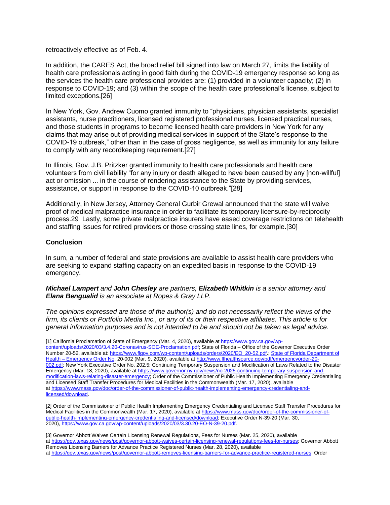retroactively effective as of Feb. 4.

In addition, the CARES Act, the broad relief bill signed into law on March 27, limits the liability of health care professionals acting in good faith during the COVID-19 emergency response so long as the services the health care professional provides are: (1) provided in a volunteer capacity; (2) in response to COVID-19; and (3) within the scope of the health care professional's license, subject to limited exceptions.[26]

In New York, Gov. Andrew Cuomo granted immunity to "physicians, physician assistants, specialist assistants, nurse practitioners, licensed registered professional nurses, licensed practical nurses, and those students in programs to become licensed health care providers in New York for any claims that may arise out of providing medical services in support of the State's response to the COVID-19 outbreak," other than in the case of gross negligence, as well as immunity for any failure to comply with any recordkeeping requirement.[27]

In Illinois, Gov. J.B. Pritzker granted immunity to health care professionals and health care volunteers from civil liability "for any injury or death alleged to have been caused by any [non-willful] act or omission ... in the course of rendering assistance to the State by providing services, assistance, or support in response to the COVID-10 outbreak."[28]

Additionally, in New Jersey, Attorney General Gurbir Grewal announced that the state will waive proof of medical malpractice insurance in order to facilitate its temporary licensure-by-reciprocity process.29 Lastly, some private malpractice insurers have eased coverage restrictions on telehealth and staffing issues for retired providers or those crossing state lines, for example.[30]

## **Conclusion**

In sum, a number of federal and state provisions are available to assist health care providers who are seeking to expand staffing capacity on an expedited basis in response to the COVID-19 emergency.

*Michael Lampert and John Chesley are partners, Elizabeth Whitkin is a senior attorney and Elana Bengualid is an associate at Ropes & Gray LLP.*

*The opinions expressed are those of the author(s) and do not necessarily reflect the views of the firm, its clients or Portfolio Media Inc., or any of its or their respective affiliates. This article is for general information purposes and is not intended to be and should not be taken as legal advice.*

[1] California Proclamation of State of Emergency (Mar. 4, 2020), available at [https://www.gov.ca.gov/wp](https://www.gov.ca.gov/wp-content/uploads/2020/03/3.4.20-Coronavirus-SOE-Proclamation.pdf)[content/uploads/2020/03/3.4.20-Coronavirus-SOE-Proclamation.pdf;](https://www.gov.ca.gov/wp-content/uploads/2020/03/3.4.20-Coronavirus-SOE-Proclamation.pdf) State of Florida – Office of the Governor Executive Order Number 20-52, available at: [https://www.flgov.com/wp-content/uploads/orders/2020/EO\\_20-52.pdf.](https://www.flgov.com/wp-content/uploads/orders/2020/EO_20-52.pdf); State of Florida Department of Health – [Emergency Order No.](https://www.law360.com/agencies/florida-department-of-health) 20-002 (Mar. 9, 2020), available at [http://www.flhealthsource.gov/pdf/emergencyorder-20-](http://www.flhealthsource.gov/pdf/emergencyorder-20-002.pdf) [002.pdf;](http://www.flhealthsource.gov/pdf/emergencyorder-20-002.pdf) New York Executive Order No. 202.5: Continuing Temporary Suspension and Modification of Laws Related to the Disaster Emergency (Mar. 18, 2020), available at [https://www.governor.ny.gov/news/no-2025-continuing-temporary-suspension-and](https://www.governor.ny.gov/news/no-2025-continuing-temporary-suspension-and-modification-laws-relating-disaster-emergency)[modification-laws-relating-disaster-emergency;](https://www.governor.ny.gov/news/no-2025-continuing-temporary-suspension-and-modification-laws-relating-disaster-emergency) Order of the Commissioner of Public Health Implementing Emergency Credentialing and Licensed Staff Transfer Procedures for Medical Facilities in the Commonwealth (Mar. 17, 2020), available at [https://www.mass.gov/doc/order-of-the-commissioner-of-public-health-implementing-emergency-credentialing-and](https://www.mass.gov/doc/order-of-the-commissioner-of-public-health-implementing-emergency-credentialing-and-licensed/download)[licensed/download.](https://www.mass.gov/doc/order-of-the-commissioner-of-public-health-implementing-emergency-credentialing-and-licensed/download)

[2] Order of the Commissioner of Public Health Implementing Emergency Credentialing and Licensed Staff Transfer Procedures for Medical Facilities in the Commonwealth (Mar. 17, 2020), available at [https://www.mass.gov/doc/order-of-the-commissioner-of](https://www.mass.gov/doc/order-of-the-commissioner-of-public-health-implementing-emergency-credentialing-and-licensed/download)[public-health-implementing-emergency-credentialing-and-licensed/download;](https://www.mass.gov/doc/order-of-the-commissioner-of-public-health-implementing-emergency-credentialing-and-licensed/download) Executive Order N-39-20 (Mar. 30, 2020), [https://www.gov.ca.gov/wp-content/uploads/2020/03/3.30.20-EO-N-39-20.pdf.](https://www.gov.ca.gov/wp-content/uploads/2020/03/3.30.20-EO-N-39-20.pdf)

[3] Governor Abbott Waives Certain Licensing Renewal Regulations, Fees for Nurses (Mar. 25, 2020), available at [https://gov.texas.gov/news/post/governor-abbott-waives-certain-licensing-renewal-regulations-fees-for-nurses;](https://gov.texas.gov/news/post/governor-abbott-waives-certain-licensing-renewal-regulations-fees-for-nurses) Governor Abbott Removes Licensing Barriers for Advance Practice Registered Nurses (Mar. 28, 2020), available at [https://gov.texas.gov/news/post/governor-abbott-removes-licensing-barriers-for-advance-practice-registered-nurses;](https://gov.texas.gov/news/post/governor-abbott-removes-licensing-barriers-for-advance-practice-registered-nurses) Order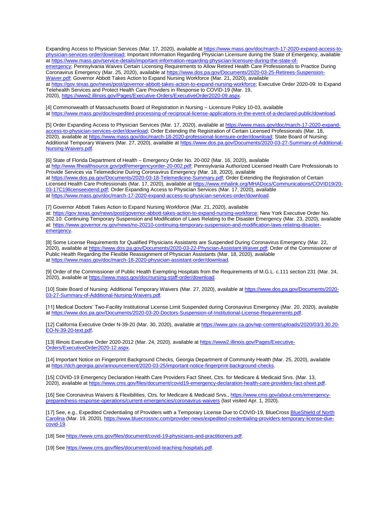Expanding Access to Physician Services (Mar. 17, 2020), available at [https://www.mass.gov/doc/march-17-2020-expand-access-to](https://www.mass.gov/doc/march-17-2020-expand-access-to-physician-services-order/download)[physician-services-order/download;](https://www.mass.gov/doc/march-17-2020-expand-access-to-physician-services-order/download) Important Information Regarding Physician Licensure during the State of Emergency, available at [https://www.mass.gov/service-details/important-information-regarding-physician-licensure-during-the-state-of](https://www.mass.gov/service-details/important-information-regarding-physician-licensure-during-the-state-of-emergency)[emergency;](https://www.mass.gov/service-details/important-information-regarding-physician-licensure-during-the-state-of-emergency) Pennsylvania Waives Certain Licensing Requirements to Allow Retired Health Care Professionals to Practice During Coronavirus Emergency (Mar. 25, 2020), available at [https://www.dos.pa.gov/Documents/2020-03-25-Retirees-Suspension-](https://www.dos.pa.gov/Documents/2020-03-25-Retirees-Suspension-Waiver.pdf)[Waiver.pdf;](https://www.dos.pa.gov/Documents/2020-03-25-Retirees-Suspension-Waiver.pdf) Governor Abbott Takes Action to Expand Nursing Workforce (Mar. 21, 2020), available at [https://gov.texas.gov/news/post/governor-abbott-takes-action-to-expand-nursing-workforce;](https://gov.texas.gov/news/post/governor-abbott-takes-action-to-expand-nursing-workforce) Executive Order 2020-09: to Expand Telehealth Services and Protect Health Care Providers in Response to COVID-19 (Mar. 19, 2020), [https://www2.illinois.gov/Pages/Executive-Orders/ExecutiveOrder2020-09.aspx.](https://www2.illinois.gov/Pages/Executive-Orders/ExecutiveOrder2020-09.aspx)

[4] Commonwealth of Massachusetts Board of Registration in Nursing – Licensure Policy 10-03, available at [https://www.mass.gov/doc/expedited-processing-of-reciprocal-license-applications-in-the-event-of-a-declared-public/download.](https://www.mass.gov/doc/expedited-processing-of-reciprocal-license-applications-in-the-event-of-a-declared-public/download)

[5] Order Expanding Access to Physician Services (Mar. 17, 2020), available at [https://www.mass.gov/doc/march-17-2020-expand](https://www.mass.gov/doc/march-17-2020-expand-access-to-physician-services-order/download)[access-to-physician-services-order/download;](https://www.mass.gov/doc/march-17-2020-expand-access-to-physician-services-order/download) Order Extending the Registration of Certain Licensed Professionals (Mar. 18, 2020), available at [https://www.mass.gov/doc/march-18-2020-professional-licensure-order/download;](https://www.mass.gov/doc/march-18-2020-professional-licensure-order/download) State Board of Nursing: Additional Temporary Waivers (Mar. 27, 2020), available at [https://www.dos.pa.gov/Documents/2020-03-27-Summary-of-Additional-](https://www.dos.pa.gov/Documents/2020-03-27-Summary-of-Additional-Nursing-Waivers.pdf)[Nursing-Waivers.pdf.](https://www.dos.pa.gov/Documents/2020-03-27-Summary-of-Additional-Nursing-Waivers.pdf)

[6] State of Florida Department of Health – Emergency Order No. 20-002 (Mar. 16, 2020), available at http://www.fihealthsource.gov/pdf/emergencyorder-20-002.pdf; Pennsylvania Authorized Licensed Health Care Professionals to Provide Services via Telemedicine During Coronavirus Emergency (Mar. 18, 2020), available at [https://www.dos.pa.gov/Documents/2020-03-18-Telemedicine-Summary.pdf;](https://www.dos.pa.gov/Documents/2020-03-18-Telemedicine-Summary.pdf) Order Extending the Registration of Certain Licensed Health Care Professionals (Mar. 17, 2020), available at [https://www.mhalink.org/MHADocs/Communications/COVID19/20-](https://www.mhalink.org/MHADocs/Communications/COVID19/20-03-17C19licenseextend.pdf) [03-17C19licenseextend.pdf;](https://www.mhalink.org/MHADocs/Communications/COVID19/20-03-17C19licenseextend.pdf) Order Expanding Access to Physician Services (Mar. 17, 2020), available at [https://www.mass.gov/doc/march-17-2020-expand-access-to-physician-services-order/download.](https://www.mass.gov/doc/march-17-2020-expand-access-to-physician-services-order/download)

[7] Governor Abbott Takes Action to Expand Nursing Workforce (Mar. 21, 2020), available at: [https://gov.texas.gov/news/post/governor-abbott-takes-action-to-expand-nursing-workforce;](https://gov.texas.gov/news/post/governor-abbott-takes-action-to-expand-nursing-workforce) New York Executive Order No. 202.10: Continuing Temporary Suspension and Modification of Laws Relating to the Disaster Emergency (Mar. 23, 2020), available at: [https://www.governor.ny.gov/news/no-20210-continuing-temporary-suspension-and-modification-laws-relating-disaster](https://www.governor.ny.gov/news/no-20210-continuing-temporary-suspension-and-modification-laws-relating-disaster-emergency)[emergency.](https://www.governor.ny.gov/news/no-20210-continuing-temporary-suspension-and-modification-laws-relating-disaster-emergency)

[8] Some License Requirements for Qualified Physicians Assistants are Suspended During Coronavirus Emergency (Mar. 22, 2020), available at [https://www.dos.pa.gov/Documents/2020-03-22-Physcian-Assistant-Waiver.pdf;](https://www.dos.pa.gov/Documents/2020-03-22-Physcian-Assistant-Waiver.pdf) Order of the Commissioner of Public Health Regarding the Flexible Reassignment of Physician Assistants (Mar. 18, 2020), available at [https://www.mass.gov/doc/march-18-2020-physician-assistant-order/download.](https://www.mass.gov/doc/march-18-2020-physician-assistant-order/download)

[9] Order of the Commissioner of Public Health Exempting Hospitals from the Requirements of M.G.L. c.111 section 231 (Mar. 24, 2020), available at [https://www.mass.gov/doc/nursing-staff-order/download.](https://www.mass.gov/doc/nursing-staff-order/download)

[10] State Board of Nursing: Additional Temporary Waivers (Mar. 27, 2020), available at [https://www.dos.pa.gov/Documents/2020-](https://www.dos.pa.gov/Documents/2020-03-27-Summary-of-Additional-Nursing-Waivers.pdf) [03-27-Summary-of-Additional-Nursing-Waivers.pdf.](https://www.dos.pa.gov/Documents/2020-03-27-Summary-of-Additional-Nursing-Waivers.pdf)

[11] Medical Doctors' Two-Facility Institutional License Limit Suspended during Coronavirus Emergency (Mar. 20, 2020), available at [https://www.dos.pa.gov/Documents/2020-03-20-Doctors-Suspension-of-Institutional-License-Requirements.pdf.](https://www.dos.pa.gov/Documents/2020-03-20-Doctors-Suspension-of-Institutional-License-Requirements.pdf)

[12] California Executive Order N-39-20 (Mar. 30, 2020), available at [https://www.gov.ca.gov/wp-content/uploads/2020/03/3.30.20-](https://www.gov.ca.gov/wp-content/uploads/2020/03/3.30.20-EO-N-39-20-text.pdf) [EO-N-39-20-text.pdf.](https://www.gov.ca.gov/wp-content/uploads/2020/03/3.30.20-EO-N-39-20-text.pdf)

[13] Illinois Executive Order 2020-2012 (Mar. 24, 2020), available at [https://www2.illinois.gov/Pages/Executive-](https://www2.illinois.gov/Pages/Executive-Orders/ExecutiveOrder2020-12.aspx)[Orders/ExecutiveOrder2020-12.aspx.](https://www2.illinois.gov/Pages/Executive-Orders/ExecutiveOrder2020-12.aspx)

[14] Important Notice on Fingerprint Background Checks, Georgia Department of Community Health (Mar. 25, 2020), available at [https://dch.georgia.gov/announcement/2020-03-25/important-notice-fingerprint-background-checks.](https://dch.georgia.gov/announcement/2020-03-25/important-notice-fingerprint-background-checks)

[15] COVID-19 Emergency Declaration Health Care Providers Fact Sheet, Ctrs. for Medicare & Medicaid Srvs. (Mar. 13, 2020), available at [https://www.cms.gov/files/document/covid19-emergency-declaration-health-care-providers-fact-sheet.pdf.](https://www.cms.gov/files/document/covid19-emergency-declaration-health-care-providers-fact-sheet.pdf)

[16] See Coronavirus Waivers & Flexibilities, Ctrs. for Medicare & Medicaid Srvs., [https://www.cms.gov/about-cms/emergency](https://www.cms.gov/about-cms/emergency-preparedness-response-operations/current-emergencies/coronavirus-waivers)[preparedness-response-operations/current-emergencies/coronavirus-waivers](https://www.cms.gov/about-cms/emergency-preparedness-response-operations/current-emergencies/coronavirus-waivers) (last visited Apr. 1, 2020).

[17] See, e.g., Expedited Credentialing of Providers with a Temporary License Due to COVID-19, BlueCross **BlueShield of North** [Carolina](https://www.law360.com/companies/blue-cross-blue-shield-of-north-carolina) (Mar. 19, 2020), [https://www.bluecrossnc.com/provider-news/expedited-credentialing-providers-temporary-license-due](https://www.bluecrossnc.com/provider-news/expedited-credentialing-providers-temporary-license-due-covid-19)[covid-19.](https://www.bluecrossnc.com/provider-news/expedited-credentialing-providers-temporary-license-due-covid-19)

[18] See [https://www.cms.gov/files/document/covid-19-physicians-and-practitioners.pdf.](https://www.cms.gov/files/document/covid-19-physicians-and-practitioners.pdf)

[19] See [https://www.cms.gov/files/document/covid-teaching-hospitals.pdf.](https://www.cms.gov/files/document/covid-teaching-hospitals.pdf)